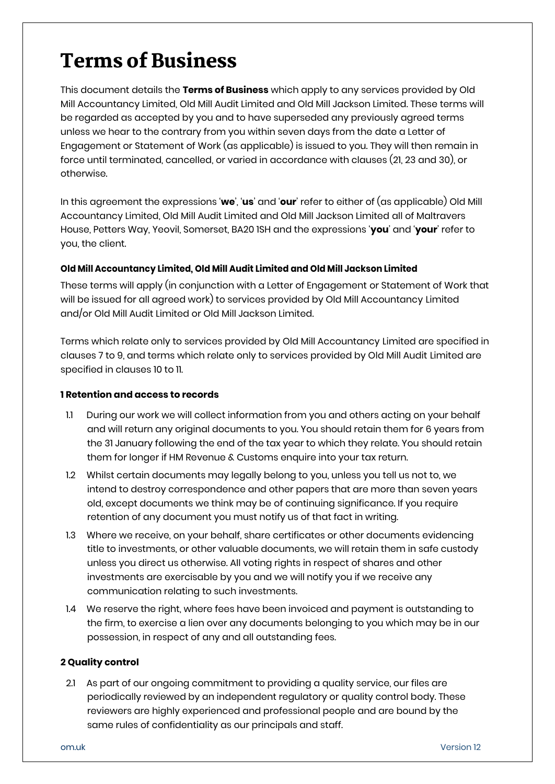# Terms of Business

This document details the **Terms of Business** which apply to any services provided by Old Mill Accountancy Limited, Old Mill Audit Limited and Old Mill Jackson Limited. These terms will be regarded as accepted by you and to have superseded any previously agreed terms unless we hear to the contrary from you within seven days from the date a Letter of Engagement or Statement of Work (as applicable) is issued to you. They will then remain in force until terminated, cancelled, or varied in accordance with clauses (21, 23 and 30), or otherwise.

In this agreement the expressions '**we**', '**us**' and '**our**' refer to either of (as applicable) Old Mill Accountancy Limited, Old Mill Audit Limited and Old Mill Jackson Limited all of Maltravers House, Petters Way, Yeovil, Somerset, BA20 1SH and the expressions '**you**' and '**your**' refer to you, the client.

## **Old Mill Accountancy Limited, Old Mill Audit Limited and Old Mill Jackson Limited**

These terms will apply (in conjunction with a Letter of Engagement or Statement of Work that will be issued for all agreed work) to services provided by Old Mill Accountancy Limited and/or Old Mill Audit Limited or Old Mill Jackson Limited.

Terms which relate only to services provided by Old Mill Accountancy Limited are specified in clauses 7 to 9, and terms which relate only to services provided by Old Mill Audit Limited are specified in clauses 10 to 11.

## **1 Retention and access to records**

- 1.1 During our work we will collect information from you and others acting on your behalf and will return any original documents to you. You should retain them for 6 years from the 31 January following the end of the tax year to which they relate. You should retain them for longer if HM Revenue & Customs enquire into your tax return.
- 1.2 Whilst certain documents may legally belong to you, unless you tell us not to, we intend to destroy correspondence and other papers that are more than seven years old, except documents we think may be of continuing significance. If you require retention of any document you must notify us of that fact in writing.
- 1.3 Where we receive, on your behalf, share certificates or other documents evidencing title to investments, or other valuable documents, we will retain them in safe custody unless you direct us otherwise. All voting rights in respect of shares and other investments are exercisable by you and we will notify you if we receive any communication relating to such investments.
- 1.4 We reserve the right, where fees have been invoiced and payment is outstanding to the firm, to exercise a lien over any documents belonging to you which may be in our possession, in respect of any and all outstanding fees.

## **2 Quality control**

2.1 As part of our ongoing commitment to providing a quality service, our files are periodically reviewed by an independent regulatory or quality control body. These reviewers are highly experienced and professional people and are bound by the same rules of confidentiality as our principals and staff.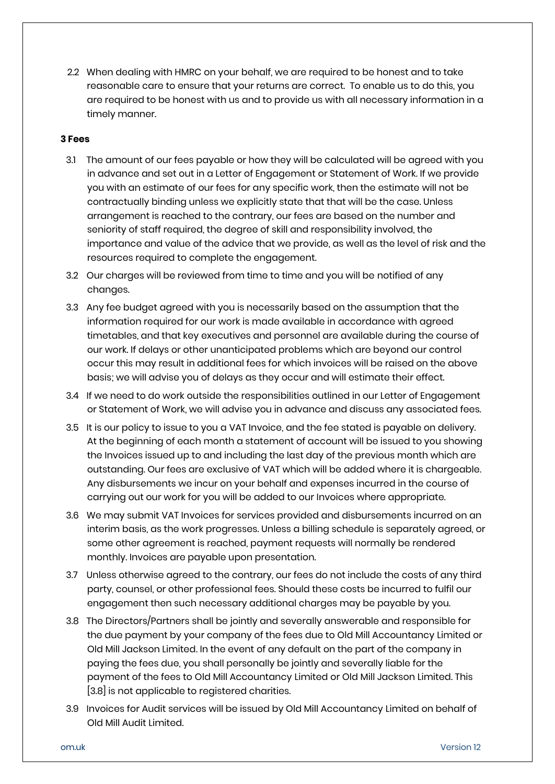2.2 When dealing with HMRC on your behalf, we are required to be honest and to take reasonable care to ensure that your returns are correct. To enable us to do this, you are required to be honest with us and to provide us with all necessary information in a timely manner.

## **3 Fees**

- 3.1 The amount of our fees payable or how they will be calculated will be agreed with you in advance and set out in a Letter of Engagement or Statement of Work. If we provide you with an estimate of our fees for any specific work, then the estimate will not be contractually binding unless we explicitly state that that will be the case. Unless arrangement is reached to the contrary, our fees are based on the number and seniority of staff required, the degree of skill and responsibility involved, the importance and value of the advice that we provide, as well as the level of risk and the resources required to complete the engagement.
- 3.2 Our charges will be reviewed from time to time and you will be notified of any changes.
- 3.3 Any fee budget agreed with you is necessarily based on the assumption that the information required for our work is made available in accordance with agreed timetables, and that key executives and personnel are available during the course of our work. If delays or other unanticipated problems which are beyond our control occur this may result in additional fees for which invoices will be raised on the above basis; we will advise you of delays as they occur and will estimate their effect.
- 3.4 If we need to do work outside the responsibilities outlined in our Letter of Engagement or Statement of Work, we will advise you in advance and discuss any associated fees.
- 3.5 It is our policy to issue to you a VAT Invoice, and the fee stated is payable on delivery. At the beginning of each month a statement of account will be issued to you showing the Invoices issued up to and including the last day of the previous month which are outstanding. Our fees are exclusive of VAT which will be added where it is chargeable. Any disbursements we incur on your behalf and expenses incurred in the course of carrying out our work for you will be added to our Invoices where appropriate.
- 3.6 We may submit VAT Invoices for services provided and disbursements incurred on an interim basis, as the work progresses. Unless a billing schedule is separately agreed, or some other agreement is reached, payment requests will normally be rendered monthly. Invoices are payable upon presentation.
- 3.7 Unless otherwise agreed to the contrary, our fees do not include the costs of any third party, counsel, or other professional fees. Should these costs be incurred to fulfil our engagement then such necessary additional charges may be payable by you.
- 3.8 The Directors/Partners shall be jointly and severally answerable and responsible for the due payment by your company of the fees due to Old Mill Accountancy Limited or Old Mill Jackson Limited. In the event of any default on the part of the company in paying the fees due, you shall personally be jointly and severally liable for the payment of the fees to Old Mill Accountancy Limited or Old Mill Jackson Limited. This [3.8] is not applicable to registered charities.
- 3.9 Invoices for Audit services will be issued by Old Mill Accountancy Limited on behalf of Old Mill Audit Limited.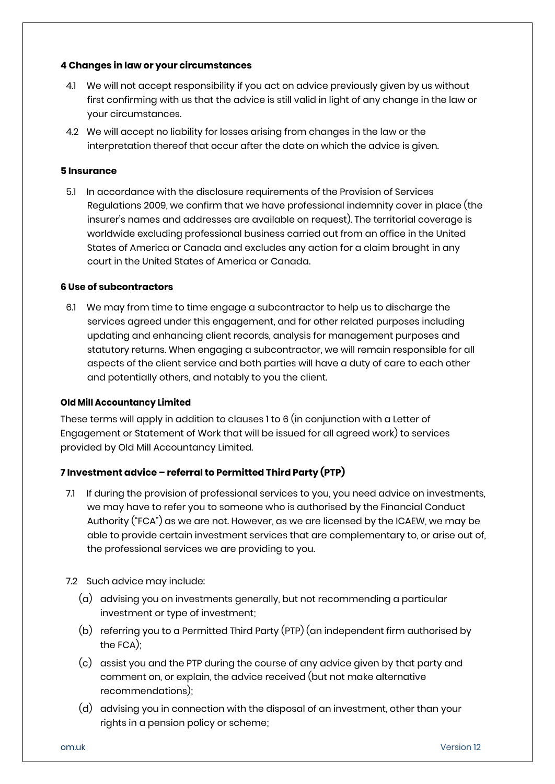## **4 Changes in law or your circumstances**

- 4.1 We will not accept responsibility if you act on advice previously given by us without first confirming with us that the advice is still valid in light of any change in the law or your circumstances.
- 4.2 We will accept no liability for losses arising from changes in the law or the interpretation thereof that occur after the date on which the advice is given.

#### **5 Insurance**

5.1 In accordance with the disclosure requirements of the Provision of Services Regulations 2009, we confirm that we have professional indemnity cover in place (the insurer's names and addresses are available on request). The territorial coverage is worldwide excluding professional business carried out from an office in the United States of America or Canada and excludes any action for a claim brought in any court in the United States of America or Canada.

#### **6 Use of subcontractors**

6.1 We may from time to time engage a subcontractor to help us to discharge the services agreed under this engagement, and for other related purposes including updating and enhancing client records, analysis for management purposes and statutory returns. When engaging a subcontractor, we will remain responsible for all aspects of the client service and both parties will have a duty of care to each other and potentially others, and notably to you the client.

#### **Old Mill Accountancy Limited**

These terms will apply in addition to clauses 1 to 6 (in conjunction with a Letter of Engagement or Statement of Work that will be issued for all agreed work) to services provided by Old Mill Accountancy Limited.

## **7 Investment advice – referral to Permitted Third Party (PTP)**

- 7.1 If during the provision of professional services to you, you need advice on investments, we may have to refer you to someone who is authorised by the Financial Conduct Authority ("FCA") as we are not. However, as we are licensed by the ICAEW, we may be able to provide certain investment services that are complementary to, or arise out of, the professional services we are providing to you.
- 7.2 Such advice may include:
	- (a) advising you on investments generally, but not recommending a particular investment or type of investment;
	- (b) referring you to a Permitted Third Party (PTP) (an independent firm authorised by the FCA);
	- (c) assist you and the PTP during the course of any advice given by that party and comment on, or explain, the advice received (but not make alternative recommendations);
	- (d) advising you in connection with the disposal of an investment, other than your rights in a pension policy or scheme;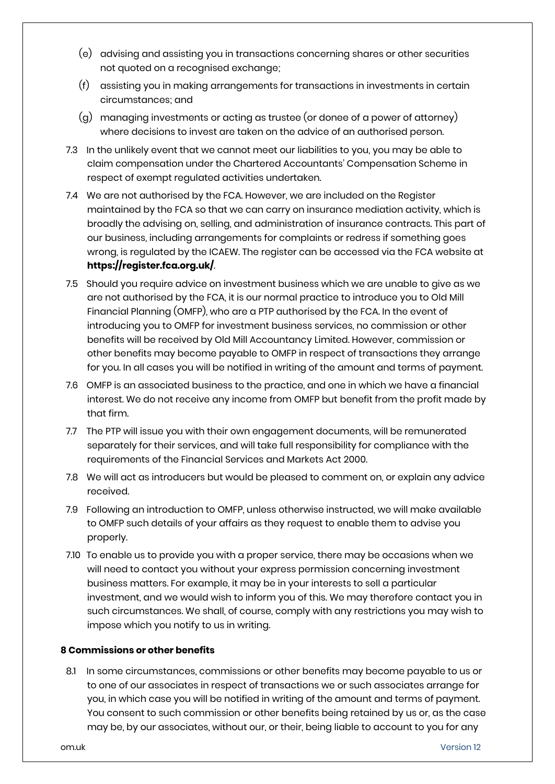- (e) advising and assisting you in transactions concerning shares or other securities not quoted on a recognised exchange;
- (f) assisting you in making arrangements for transactions in investments in certain circumstances; and
- (g) managing investments or acting as trustee (or donee of a power of attorney) where decisions to invest are taken on the advice of an authorised person.
- 7.3 In the unlikely event that we cannot meet our liabilities to you, you may be able to claim compensation under the Chartered Accountants' Compensation Scheme in respect of exempt regulated activities undertaken.
- 7.4 We are not authorised by the FCA. However, we are included on the Register maintained by the FCA so that we can carry on insurance mediation activity, which is broadly the advising on, selling, and administration of insurance contracts. This part of our business, including arrangements for complaints or redress if something goes wrong, is regulated by the ICAEW. The register can be accessed via the FCA website at **<https://register.fca.org.uk/>**.
- 7.5 Should you require advice on investment business which we are unable to give as we are not authorised by the FCA, it is our normal practice to introduce you to Old Mill Financial Planning (OMFP), who are a PTP authorised by the FCA. In the event of introducing you to OMFP for investment business services, no commission or other benefits will be received by Old Mill Accountancy Limited. However, commission or other benefits may become payable to OMFP in respect of transactions they arrange for you. In all cases you will be notified in writing of the amount and terms of payment.
- 7.6 OMFP is an associated business to the practice, and one in which we have a financial interest. We do not receive any income from OMFP but benefit from the profit made by that firm.
- 7.7 The PTP will issue you with their own engagement documents, will be remunerated separately for their services, and will take full responsibility for compliance with the requirements of the Financial Services and Markets Act 2000.
- 7.8 We will act as introducers but would be pleased to comment on, or explain any advice received.
- 7.9 Following an introduction to OMFP, unless otherwise instructed, we will make available to OMFP such details of your affairs as they request to enable them to advise you properly.
- 7.10 To enable us to provide you with a proper service, there may be occasions when we will need to contact you without your express permission concerning investment business matters. For example, it may be in your interests to sell a particular investment, and we would wish to inform you of this. We may therefore contact you in such circumstances. We shall, of course, comply with any restrictions you may wish to impose which you notify to us in writing.

## **8 Commissions or other benefits**

8.1 In some circumstances, commissions or other benefits may become payable to us or to one of our associates in respect of transactions we or such associates arrange for you, in which case you will be notified in writing of the amount and terms of payment. You consent to such commission or other benefits being retained by us or, as the case may be, by our associates, without our, or their, being liable to account to you for any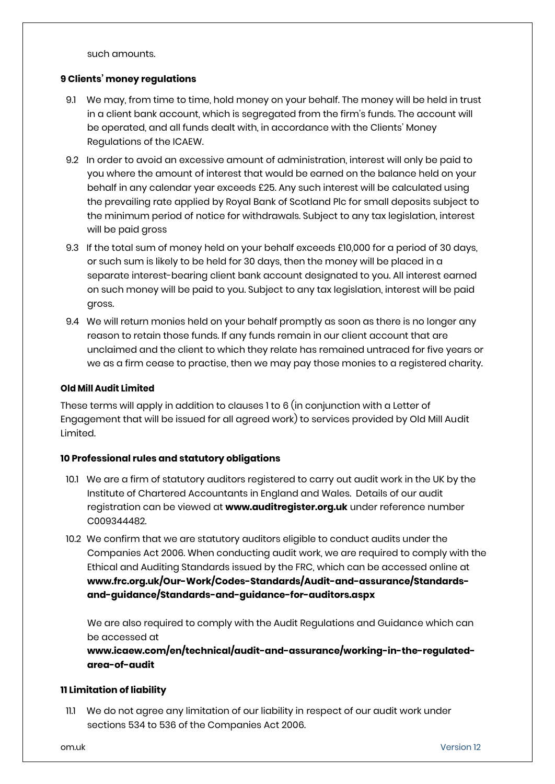such amounts.

#### **9 Clients' money regulations**

- 9.1 We may, from time to time, hold money on your behalf. The money will be held in trust in a client bank account, which is segregated from the firm's funds. The account will be operated, and all funds dealt with, in accordance with the Clients' Money Regulations of the ICAEW.
- 9.2 In order to avoid an excessive amount of administration, interest will only be paid to you where the amount of interest that would be earned on the balance held on your behalf in any calendar year exceeds £25. Any such interest will be calculated using the prevailing rate applied by Royal Bank of Scotland Plc for small deposits subject to the minimum period of notice for withdrawals. Subject to any tax legislation, interest will be paid gross
- 9.3 If the total sum of money held on your behalf exceeds £10,000 for a period of 30 days, or such sum is likely to be held for 30 days, then the money will be placed in a separate interest-bearing client bank account designated to you. All interest earned on such money will be paid to you. Subject to any tax legislation, interest will be paid gross.
- 9.4 We will return monies held on your behalf promptly as soon as there is no longer any reason to retain those funds. If any funds remain in our client account that are unclaimed and the client to which they relate has remained untraced for five years or we as a firm cease to practise, then we may pay those monies to a registered charity.

#### **Old Mill Audit Limited**

These terms will apply in addition to clauses 1 to 6 (in conjunction with a Letter of Engagement that will be issued for all agreed work) to services provided by Old Mill Audit Limited.

## **10 Professional rules and statutory obligations**

- 10.1 We are a firm of statutory auditors registered to carry out audit work in the UK by the Institute of Chartered Accountants in England and Wales. Details of our audit registration can be viewed at **[www.auditregister.org.uk](http://www.auditregister.org.uk/Forms/Default.aspx)** under reference number C009344482.
- 10.2 We confirm that we are statutory auditors eligible to conduct audits under the Companies Act 2006. When conducting audit work, we are required to comply with the Ethical and Auditing Standards issued by the FRC, which can be accessed online at **[www.frc.org.uk/Our-Work/Codes-Standards/Audit-and-assurance/Standards](http://www.frc.org.uk/Our-Work/Codes-Standards/Audit-and-assurance/Standards-and-guidance/Standards-and-guidance-for-auditors.aspx)[and-guidance/Standards-and-guidance-for-auditors.aspx](http://www.frc.org.uk/Our-Work/Codes-Standards/Audit-and-assurance/Standards-and-guidance/Standards-and-guidance-for-auditors.aspx)**

We are also required to comply with the Audit Regulations and Guidance which can be accessed at

**[www.icaew.com/en/technical/audit-and-assurance/working-in-the-regulated](http://www.icaew.com/en/technical/audit-and-assurance/working-in-the-regulated-area-of-audit)[area-of-audit](http://www.icaew.com/en/technical/audit-and-assurance/working-in-the-regulated-area-of-audit)**

## **11 Limitation of liability**

11.1 We do not agree any limitation of our liability in respect of our audit work under sections 534 to 536 of the Companies Act 2006.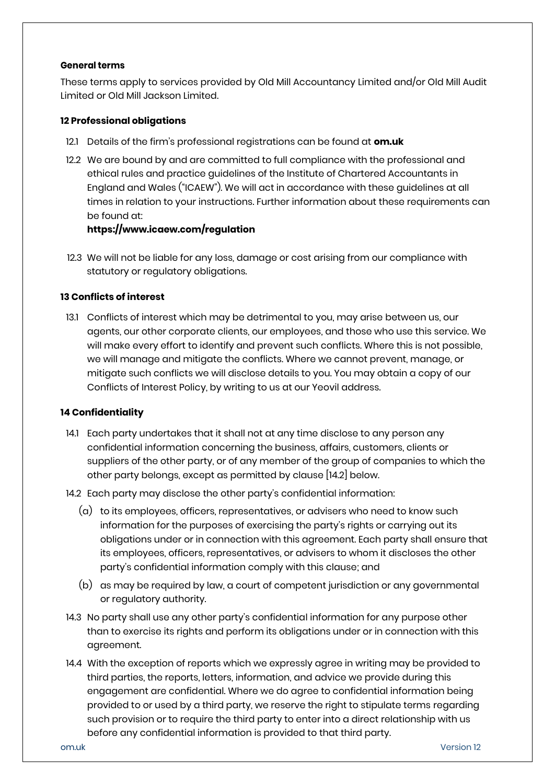#### **General terms**

These terms apply to services provided by Old Mill Accountancy Limited and/or Old Mill Audit Limited or Old Mill Jackson Limited.

## **12 Professional obligations**

- 12.1 Details of the firm's professional registrations can be found at **[om.uk](http://www.oldmillgroup.co.uk/)**
- 12.2 We are bound by and are committed to full compliance with the professional and ethical rules and practice guidelines of the Institute of Chartered Accountants in England and Wales ("ICAEW"). We will act in accordance with these guidelines at all times in relation to your instructions. Further information about these requirements can be found at:

**<https://www.icaew.com/regulation>**

12.3 We will not be liable for any loss, damage or cost arising from our compliance with statutory or regulatory obligations.

## **13 Conflicts of interest**

13.1 Conflicts of interest which may be detrimental to you, may arise between us, our agents, our other corporate clients, our employees, and those who use this service. We will make every effort to identify and prevent such conflicts. Where this is not possible, we will manage and mitigate the conflicts. Where we cannot prevent, manage, or mitigate such conflicts we will disclose details to you. You may obtain a copy of our Conflicts of Interest Policy, by writing to us at our Yeovil address.

#### **14 Confidentiality**

- 14.1 Each party undertakes that it shall not at any time disclose to any person any confidential information concerning the business, affairs, customers, clients or suppliers of the other party, or of any member of the group of companies to which the other party belongs, except as permitted by clause [14.2] below.
- 14.2 Each party may disclose the other party's confidential information:
	- (a) to its employees, officers, representatives, or advisers who need to know such information for the purposes of exercising the party's rights or carrying out its obligations under or in connection with this agreement. Each party shall ensure that its employees, officers, representatives, or advisers to whom it discloses the other party's confidential information comply with this clause; and
	- (b) as may be required by law, a court of competent jurisdiction or any governmental or regulatory authority.
- 14.3 No party shall use any other party's confidential information for any purpose other than to exercise its rights and perform its obligations under or in connection with this agreement.
- 14.4 With the exception of reports which we expressly agree in writing may be provided to third parties, the reports, letters, information, and advice we provide during this engagement are confidential. Where we do agree to confidential information being provided to or used by a third party, we reserve the right to stipulate terms regarding such provision or to require the third party to enter into a direct relationship with us before any confidential information is provided to that third party.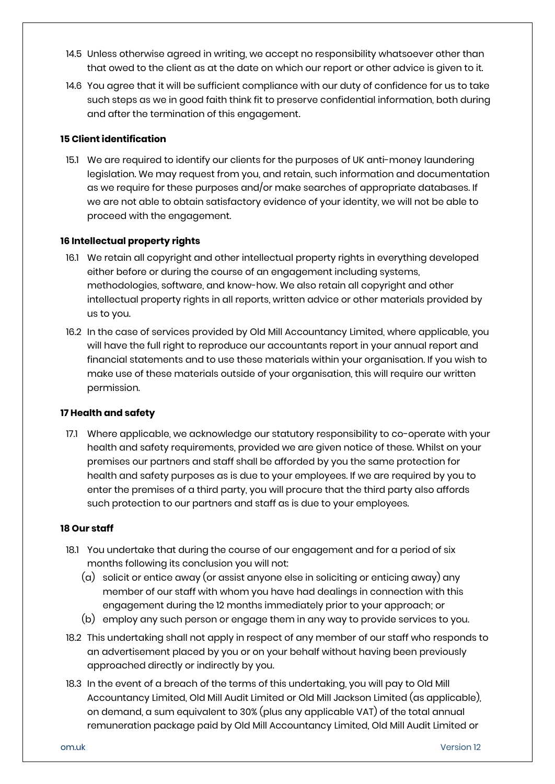- 14.5 Unless otherwise agreed in writing, we accept no responsibility whatsoever other than that owed to the client as at the date on which our report or other advice is given to it.
- 14.6 You agree that it will be sufficient compliance with our duty of confidence for us to take such steps as we in good faith think fit to preserve confidential information, both during and after the termination of this engagement.

## **15 Client identification**

15.1 We are required to identify our clients for the purposes of UK anti-money laundering legislation. We may request from you, and retain, such information and documentation as we require for these purposes and/or make searches of appropriate databases. If we are not able to obtain satisfactory evidence of your identity, we will not be able to proceed with the engagement.

#### **16 Intellectual property rights**

- 16.1 We retain all copyright and other intellectual property rights in everything developed either before or during the course of an engagement including systems, methodologies, software, and know-how. We also retain all copyright and other intellectual property rights in all reports, written advice or other materials provided by us to you.
- 16.2 In the case of services provided by Old Mill Accountancy Limited, where applicable, you will have the full right to reproduce our accountants report in your annual report and financial statements and to use these materials within your organisation. If you wish to make use of these materials outside of your organisation, this will require our written permission.

#### **17 Health and safety**

17.1 Where applicable, we acknowledge our statutory responsibility to co-operate with your health and safety requirements, provided we are given notice of these. Whilst on your premises our partners and staff shall be afforded by you the same protection for health and safety purposes as is due to your employees. If we are required by you to enter the premises of a third party, you will procure that the third party also affords such protection to our partners and staff as is due to your employees.

#### **18 Our staff**

- 18.1 You undertake that during the course of our engagement and for a period of six months following its conclusion you will not:
	- (a) solicit or entice away (or assist anyone else in soliciting or enticing away) any member of our staff with whom you have had dealings in connection with this engagement during the 12 months immediately prior to your approach; or
	- (b) employ any such person or engage them in any way to provide services to you.
- 18.2 This undertaking shall not apply in respect of any member of our staff who responds to an advertisement placed by you or on your behalf without having been previously approached directly or indirectly by you.
- 18.3 In the event of a breach of the terms of this undertaking, you will pay to Old Mill Accountancy Limited, Old Mill Audit Limited or Old Mill Jackson Limited (as applicable), on demand, a sum equivalent to 30% (plus any applicable VAT) of the total annual remuneration package paid by Old Mill Accountancy Limited, Old Mill Audit Limited or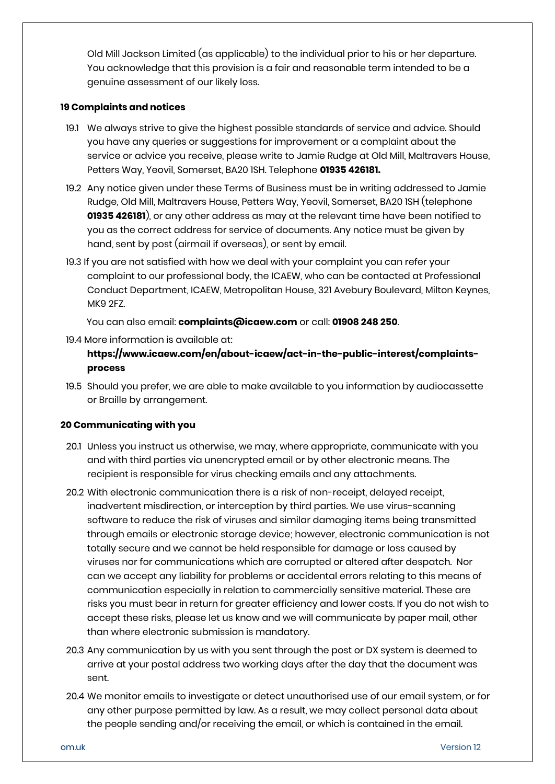Old Mill Jackson Limited (as applicable) to the individual prior to his or her departure. You acknowledge that this provision is a fair and reasonable term intended to be a genuine assessment of our likely loss.

#### **19 Complaints and notices**

- 19.1 We always strive to give the highest possible standards of service and advice. Should you have any queries or suggestions for improvement or a complaint about the service or advice you receive, please write to Jamie Rudge at Old Mill, Maltravers House, Petters Way, Yeovil, Somerset, BA20 1SH. Telephone **01935 426181.**
- 19.2 Any notice given under these Terms of Business must be in writing addressed to Jamie Rudge, Old Mill, Maltravers House, Petters Way, Yeovil, Somerset, BA20 1SH (telephone **01935 426181**), or any other address as may at the relevant time have been notified to you as the correct address for service of documents. Any notice must be given by hand, sent by post (airmail if overseas), or sent by email.
- 19.3 If you are not satisfied with how we deal with your complaint you can refer your complaint to our professional body, the ICAEW, who can be contacted at Professional Conduct Department, ICAEW, Metropolitan House, 321 Avebury Boulevard, Milton Keynes, MK9 2FZ.

You can also email: **[complaints@icaew.com](mailto:complaints@icaew.com)** or call: **01908 248 250**.

19.4 More information is available at:

## **[https://www.icaew.com/en/about-icaew/act-in-the-public-interest/complaints](https://www.icaew.com/en/about-icaew/act-in-the-public-interest/complaints-process)[process](https://www.icaew.com/en/about-icaew/act-in-the-public-interest/complaints-process)**

19.5 Should you prefer, we are able to make available to you information by audiocassette or Braille by arrangement.

## **20 Communicating with you**

- 20.1 Unless you instruct us otherwise, we may, where appropriate, communicate with you and with third parties via unencrypted email or by other electronic means. The recipient is responsible for virus checking emails and any attachments.
- 20.2 With electronic communication there is a risk of non-receipt, delayed receipt, inadvertent misdirection, or interception by third parties. We use virus-scanning software to reduce the risk of viruses and similar damaging items being transmitted through emails or electronic storage device; however, electronic communication is not totally secure and we cannot be held responsible for damage or loss caused by viruses nor for communications which are corrupted or altered after despatch. Nor can we accept any liability for problems or accidental errors relating to this means of communication especially in relation to commercially sensitive material. These are risks you must bear in return for greater efficiency and lower costs. If you do not wish to accept these risks, please let us know and we will communicate by paper mail, other than where electronic submission is mandatory.
- 20.3 Any communication by us with you sent through the post or DX system is deemed to arrive at your postal address two working days after the day that the document was sent.
- 20.4 We monitor emails to investigate or detect unauthorised use of our email system, or for any other purpose permitted by law. As a result, we may collect personal data about the people sending and/or receiving the email, or which is contained in the email.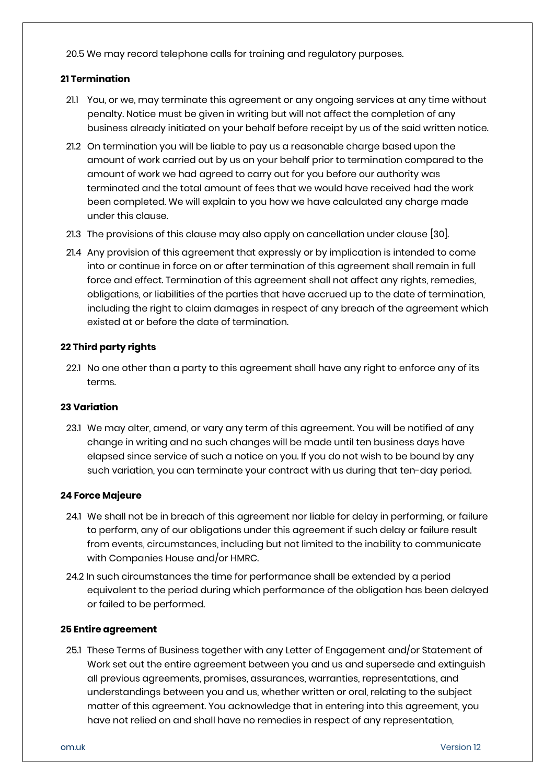20.5 We may record telephone calls for training and regulatory purposes.

## **21 Termination**

- 21.1 You, or we, may terminate this agreement or any ongoing services at any time without penalty. Notice must be given in writing but will not affect the completion of any business already initiated on your behalf before receipt by us of the said written notice.
- 21.2 On termination you will be liable to pay us a reasonable charge based upon the amount of work carried out by us on your behalf prior to termination compared to the amount of work we had agreed to carry out for you before our authority was terminated and the total amount of fees that we would have received had the work been completed. We will explain to you how we have calculated any charge made under this clause.
- 21.3 The provisions of this clause may also apply on cancellation under clause [30].
- 21.4 Any provision of this agreement that expressly or by implication is intended to come into or continue in force on or after termination of this agreement shall remain in full force and effect. Termination of this agreement shall not affect any rights, remedies, obligations, or liabilities of the parties that have accrued up to the date of termination, including the right to claim damages in respect of any breach of the agreement which existed at or before the date of termination.

#### **22 Third party rights**

22.1 No one other than a party to this agreement shall have any right to enforce any of its terms.

#### **23 Variation**

23.1 We may alter, amend, or vary any term of this agreement. You will be notified of any change in writing and no such changes will be made until ten business days have elapsed since service of such a notice on you. If you do not wish to be bound by any such variation, you can terminate your contract with us during that ten-day period.

#### **24 Force Majeure**

- 24.1 We shall not be in breach of this agreement nor liable for delay in performing, or failure to perform, any of our obligations under this agreement if such delay or failure result from events, circumstances, including but not limited to the inability to communicate with Companies House and/or HMRC.
- 24.2 In such circumstances the time for performance shall be extended by a period equivalent to the period during which performance of the obligation has been delayed or failed to be performed.

#### **25 Entire agreement**

25.1 These Terms of Business together with any Letter of Engagement and/or Statement of Work set out the entire agreement between you and us and supersede and extinguish all previous agreements, promises, assurances, warranties, representations, and understandings between you and us, whether written or oral, relating to the subject matter of this agreement. You acknowledge that in entering into this agreement, you have not relied on and shall have no remedies in respect of any representation,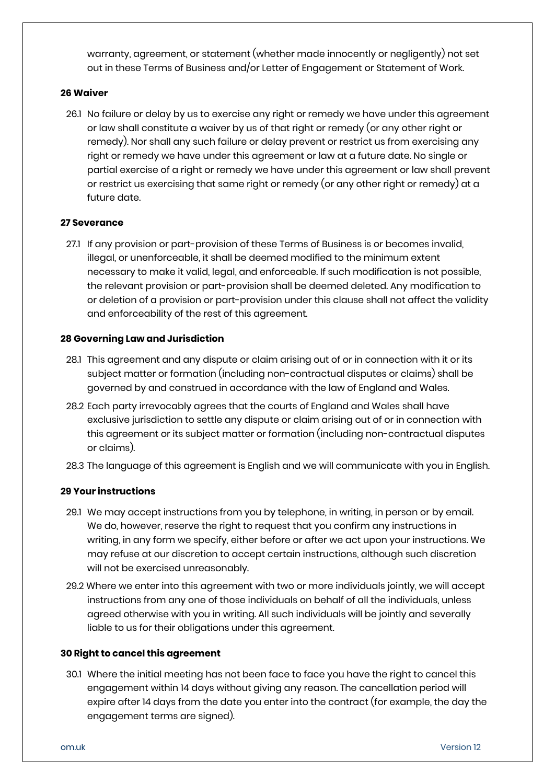warranty, agreement, or statement (whether made innocently or negligently) not set out in these Terms of Business and/or Letter of Engagement or Statement of Work.

#### **26 Waiver**

26.1 No failure or delay by us to exercise any right or remedy we have under this agreement or law shall constitute a waiver by us of that right or remedy (or any other right or remedy). Nor shall any such failure or delay prevent or restrict us from exercising any right or remedy we have under this agreement or law at a future date. No single or partial exercise of a right or remedy we have under this agreement or law shall prevent or restrict us exercising that same right or remedy (or any other right or remedy) at a future date.

## **27 Severance**

27.1 If any provision or part-provision of these Terms of Business is or becomes invalid, illegal, or unenforceable, it shall be deemed modified to the minimum extent necessary to make it valid, legal, and enforceable. If such modification is not possible, the relevant provision or part-provision shall be deemed deleted. Any modification to or deletion of a provision or part-provision under this clause shall not affect the validity and enforceability of the rest of this agreement.

#### **28 Governing Law and Jurisdiction**

- 28.1 This agreement and any dispute or claim arising out of or in connection with it or its subject matter or formation (including non-contractual disputes or claims) shall be governed by and construed in accordance with the law of England and Wales.
- 28.2 Each party irrevocably agrees that the courts of England and Wales shall have exclusive jurisdiction to settle any dispute or claim arising out of or in connection with this agreement or its subject matter or formation (including non-contractual disputes or claims).
- 28.3 The language of this agreement is English and we will communicate with you in English.

## **29 Your instructions**

- 29.1 We may accept instructions from you by telephone, in writing, in person or by email. We do, however, reserve the right to request that you confirm any instructions in writing, in any form we specify, either before or after we act upon your instructions. We may refuse at our discretion to accept certain instructions, although such discretion will not be exercised unreasonably.
- 29.2 Where we enter into this agreement with two or more individuals jointly, we will accept instructions from any one of those individuals on behalf of all the individuals, unless agreed otherwise with you in writing. All such individuals will be jointly and severally liable to us for their obligations under this agreement.

## **30 Right to cancel this agreement**

30.1 Where the initial meeting has not been face to face you have the right to cancel this engagement within 14 days without giving any reason. The cancellation period will expire after 14 days from the date you enter into the contract (for example, the day the engagement terms are signed).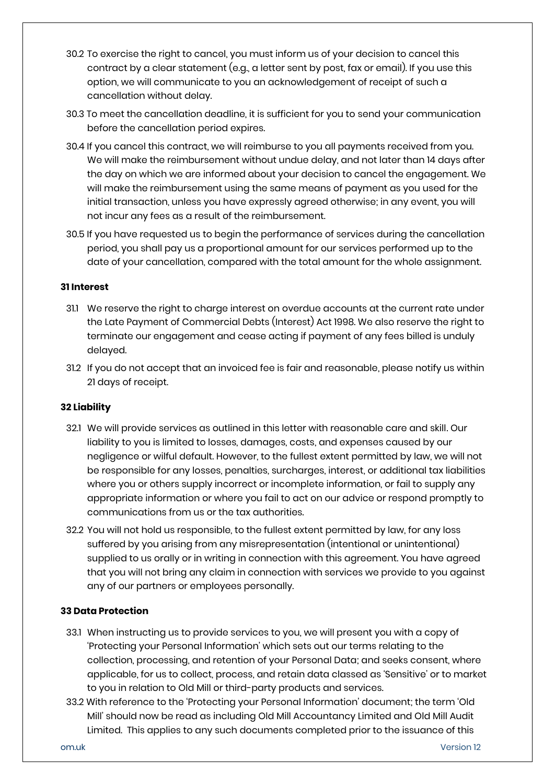- 30.2 To exercise the right to cancel, you must inform us of your decision to cancel this contract by a clear statement (e.g., a letter sent by post, fax or email). If you use this option, we will communicate to you an acknowledgement of receipt of such a cancellation without delay.
- 30.3 To meet the cancellation deadline, it is sufficient for you to send your communication before the cancellation period expires.
- 30.4 If you cancel this contract, we will reimburse to you all payments received from you. We will make the reimbursement without undue delay, and not later than 14 days after the day on which we are informed about your decision to cancel the engagement. We will make the reimbursement using the same means of payment as you used for the initial transaction, unless you have expressly agreed otherwise; in any event, you will not incur any fees as a result of the reimbursement.
- 30.5 If you have requested us to begin the performance of services during the cancellation period, you shall pay us a proportional amount for our services performed up to the date of your cancellation, compared with the total amount for the whole assignment.

#### **31 Interest**

- 31.1 We reserve the right to charge interest on overdue accounts at the current rate under the Late Payment of Commercial Debts (Interest) Act 1998. We also reserve the right to terminate our engagement and cease acting if payment of any fees billed is unduly delayed.
- 31.2 If you do not accept that an invoiced fee is fair and reasonable, please notify us within 21 days of receipt.

## **32 Liability**

- 32.1 We will provide services as outlined in this letter with reasonable care and skill. Our liability to you is limited to losses, damages, costs, and expenses caused by our negligence or wilful default. However, to the fullest extent permitted by law, we will not be responsible for any losses, penalties, surcharges, interest, or additional tax liabilities where you or others supply incorrect or incomplete information, or fail to supply any appropriate information or where you fail to act on our advice or respond promptly to communications from us or the tax authorities.
- 32.2 You will not hold us responsible, to the fullest extent permitted by law, for any loss suffered by you arising from any misrepresentation (intentional or unintentional) supplied to us orally or in writing in connection with this agreement. You have agreed that you will not bring any claim in connection with services we provide to you against any of our partners or employees personally.

## **33 Data Protection**

- 33.1 When instructing us to provide services to you, we will present you with a copy of 'Protecting your Personal Information' which sets out our terms relating to the collection, processing, and retention of your Personal Data; and seeks consent, where applicable, for us to collect, process, and retain data classed as 'Sensitive' or to market to you in relation to Old Mill or third-party products and services.
- 33.2 With reference to the 'Protecting your Personal Information' document; the term 'Old Mill' should now be read as including Old Mill Accountancy Limited and Old Mill Audit Limited. This applies to any such documents completed prior to the issuance of this